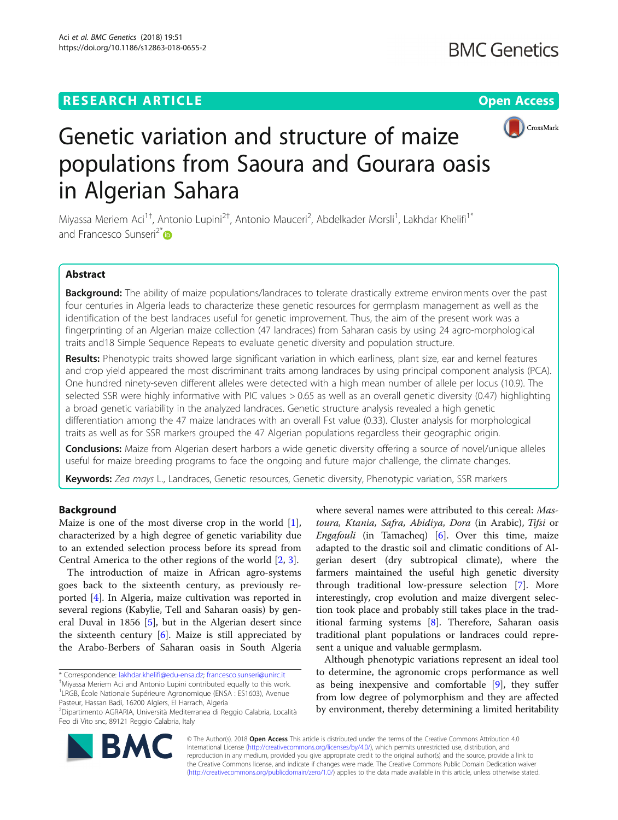# **RESEARCH ARTICLE Example 2014 12:30 The Contract of Contract ACCESS**



# Genetic variation and structure of maize populations from Saoura and Gourara oasis in Algerian Sahara

Miyassa Meriem Aci<sup>1†</sup>, Antonio Lupini<sup>2†</sup>, Antonio Mauceri<sup>2</sup>, Abdelkader Morsli<sup>1</sup>, Lakhdar Khelifi<sup>1\*</sup> and Francesco Sunseri<sup>2[\\*](http://orcid.org/0000-0001-5201-5413)</sup>

# Abstract

Background: The ability of maize populations/landraces to tolerate drastically extreme environments over the past four centuries in Algeria leads to characterize these genetic resources for germplasm management as well as the identification of the best landraces useful for genetic improvement. Thus, the aim of the present work was a fingerprinting of an Algerian maize collection (47 landraces) from Saharan oasis by using 24 agro-morphological traits and18 Simple Sequence Repeats to evaluate genetic diversity and population structure.

Results: Phenotypic traits showed large significant variation in which earliness, plant size, ear and kernel features and crop yield appeared the most discriminant traits among landraces by using principal component analysis (PCA). One hundred ninety-seven different alleles were detected with a high mean number of allele per locus (10.9). The selected SSR were highly informative with PIC values > 0.65 as well as an overall genetic diversity (0.47) highlighting a broad genetic variability in the analyzed landraces. Genetic structure analysis revealed a high genetic differentiation among the 47 maize landraces with an overall Fst value (0.33). Cluster analysis for morphological traits as well as for SSR markers grouped the 47 Algerian populations regardless their geographic origin.

Conclusions: Maize from Algerian desert harbors a wide genetic diversity offering a source of novel/unique alleles useful for maize breeding programs to face the ongoing and future major challenge, the climate changes.

Keywords: Zea mays L., Landraces, Genetic resources, Genetic diversity, Phenotypic variation, SSR markers

# Background

Maize is one of the most diverse crop in the world [\[1](#page-8-0)], characterized by a high degree of genetic variability due to an extended selection process before its spread from Central America to the other regions of the world [[2,](#page-8-0) [3\]](#page-8-0).

The introduction of maize in African agro-systems goes back to the sixteenth century, as previously reported [\[4](#page-8-0)]. In Algeria, maize cultivation was reported in several regions (Kabylie, Tell and Saharan oasis) by general Duval in 1856 [\[5](#page-8-0)], but in the Algerian desert since the sixteenth century  $[6]$  $[6]$  $[6]$ . Maize is still appreciated by the Arabo-Berbers of Saharan oasis in South Algeria where several names were attributed to this cereal: Mastoura, Ktania, Safra, Abidiya, Dora (in Arabic), Tifsi or Engafouli (in Tamacheq) [\[6](#page-8-0)]. Over this time, maize adapted to the drastic soil and climatic conditions of Algerian desert (dry subtropical climate), where the farmers maintained the useful high genetic diversity through traditional low-pressure selection [\[7\]](#page-8-0). More interestingly, crop evolution and maize divergent selection took place and probably still takes place in the traditional farming systems [\[8](#page-8-0)]. Therefore, Saharan oasis traditional plant populations or landraces could represent a unique and valuable germplasm.

Although phenotypic variations represent an ideal tool to determine, the agronomic crops performance as well as being inexpensive and comfortable [\[9](#page-8-0)], they suffer from low degree of polymorphism and they are affected by environment, thereby determining a limited heritability



© The Author(s). 2018 Open Access This article is distributed under the terms of the Creative Commons Attribution 4.0 International License [\(http://creativecommons.org/licenses/by/4.0/](http://creativecommons.org/licenses/by/4.0/)), which permits unrestricted use, distribution, and reproduction in any medium, provided you give appropriate credit to the original author(s) and the source, provide a link to the Creative Commons license, and indicate if changes were made. The Creative Commons Public Domain Dedication waiver [\(http://creativecommons.org/publicdomain/zero/1.0/](http://creativecommons.org/publicdomain/zero/1.0/)) applies to the data made available in this article, unless otherwise stated.

<sup>\*</sup> Correspondence: [lakhdar.khelifi@edu-ensa.dz;](mailto:lakhdar.khelifi@edu-ensa.dz) [francesco.sunseri@unirc.it](mailto:francesco.sunseri@unirc.it) †

Miyassa Meriem Aci and Antonio Lupini contributed equally to this work. <sup>1</sup>LRGB, École Nationale Supérieure Agronomique (ENSA : ES1603), Avenue Pasteur, Hassan Badi, 16200 Algiers, El Harrach, Algeria

<sup>2</sup> Dipartimento AGRARIA, Università Mediterranea di Reggio Calabria, Località Feo di Vito snc, 89121 Reggio Calabria, Italy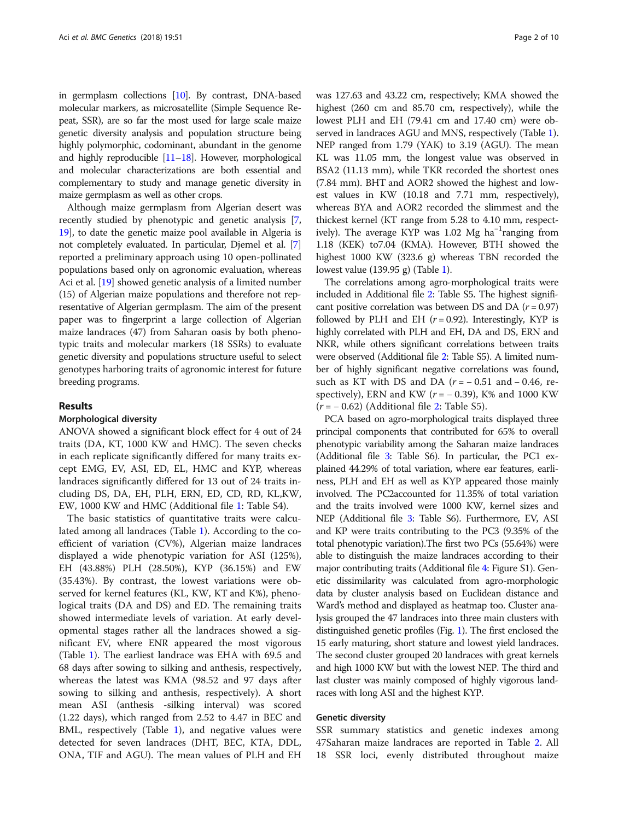in germplasm collections [\[10\]](#page-8-0). By contrast, DNA-based molecular markers, as microsatellite (Simple Sequence Repeat, SSR), are so far the most used for large scale maize genetic diversity analysis and population structure being highly polymorphic, codominant, abundant in the genome and highly reproducible  $[11–18]$  $[11–18]$  $[11–18]$  $[11–18]$  $[11–18]$ . However, morphological and molecular characterizations are both essential and complementary to study and manage genetic diversity in maize germplasm as well as other crops.

Although maize germplasm from Algerian desert was recently studied by phenotypic and genetic analysis [[7](#page-8-0), [19](#page-8-0)], to date the genetic maize pool available in Algeria is not completely evaluated. In particular, Djemel et al. [[7](#page-8-0)] reported a preliminary approach using 10 open-pollinated populations based only on agronomic evaluation, whereas Aci et al. [[19](#page-8-0)] showed genetic analysis of a limited number (15) of Algerian maize populations and therefore not representative of Algerian germplasm. The aim of the present paper was to fingerprint a large collection of Algerian maize landraces (47) from Saharan oasis by both phenotypic traits and molecular markers (18 SSRs) to evaluate genetic diversity and populations structure useful to select genotypes harboring traits of agronomic interest for future breeding programs.

# Results

# Morphological diversity

ANOVA showed a significant block effect for 4 out of 24 traits (DA, KT, 1000 KW and HMC). The seven checks in each replicate significantly differed for many traits except EMG, EV, ASI, ED, EL, HMC and KYP, whereas landraces significantly differed for 13 out of 24 traits including DS, DA, EH, PLH, ERN, ED, CD, RD, KL,KW, EW, 1000 KW and HMC (Additional file [1:](#page-7-0) Table S4).

The basic statistics of quantitative traits were calculated among all landraces (Table [1\)](#page-2-0). According to the coefficient of variation (CV%), Algerian maize landraces displayed a wide phenotypic variation for ASI (125%), EH (43.88%) PLH (28.50%), KYP (36.15%) and EW (35.43%). By contrast, the lowest variations were observed for kernel features (KL, KW, KT and K%), phenological traits (DA and DS) and ED. The remaining traits showed intermediate levels of variation. At early developmental stages rather all the landraces showed a significant EV, where ENR appeared the most vigorous (Table [1\)](#page-2-0). The earliest landrace was EHA with 69.5 and 68 days after sowing to silking and anthesis, respectively, whereas the latest was KMA (98.52 and 97 days after sowing to silking and anthesis, respectively). A short mean ASI (anthesis -silking interval) was scored (1.22 days), which ranged from 2.52 to 4.47 in BEC and BML, respectively (Table [1](#page-2-0)), and negative values were detected for seven landraces (DHT, BEC, KTA, DDL, ONA, TIF and AGU). The mean values of PLH and EH

was 127.63 and 43.22 cm, respectively; KMA showed the highest (260 cm and 85.70 cm, respectively), while the lowest PLH and EH (79.41 cm and 17.40 cm) were observed in landraces AGU and MNS, respectively (Table [1](#page-2-0)). NEP ranged from 1.79 (YAK) to 3.19 (AGU). The mean KL was 11.05 mm, the longest value was observed in BSA2 (11.13 mm), while TKR recorded the shortest ones (7.84 mm). BHT and AOR2 showed the highest and lowest values in KW (10.18 and 7.71 mm, respectively), whereas BYA and AOR2 recorded the slimmest and the thickest kernel (KT range from 5.28 to 4.10 mm, respectively). The average KYP was 1.02 Mg ha<sup>-1</sup>ranging from 1.18 (KEK) to7.04 (KMA). However, BTH showed the highest 1000 KW (323.6 g) whereas TBN recorded the lowest value (139.95 g) (Table [1\)](#page-2-0).

The correlations among agro-morphological traits were included in Additional file [2:](#page-7-0) Table S5. The highest significant positive correlation was between DS and DA ( $r = 0.97$ ) followed by PLH and EH  $(r = 0.92)$ . Interestingly, KYP is highly correlated with PLH and EH, DA and DS, ERN and NKR, while others significant correlations between traits were observed (Additional file [2](#page-7-0): Table S5). A limited number of highly significant negative correlations was found, such as KT with DS and DA ( $r = -0.51$  and  $-0.46$ , respectively), ERN and KW ( $r = -0.39$ ), K% and 1000 KW  $(r = -0.62)$  (Additional file [2:](#page-7-0) Table S5).

PCA based on agro-morphological traits displayed three principal components that contributed for 65% to overall phenotypic variability among the Saharan maize landraces (Additional file [3:](#page-8-0) Table S6). In particular, the PC1 explained 44.29% of total variation, where ear features, earliness, PLH and EH as well as KYP appeared those mainly involved. The PC2accounted for 11.35% of total variation and the traits involved were 1000 KW, kernel sizes and NEP (Additional file [3](#page-8-0): Table S6). Furthermore, EV, ASI and KP were traits contributing to the PC3 (9.35% of the total phenotypic variation).The first two PCs (55.64%) were able to distinguish the maize landraces according to their major contributing traits (Additional file [4](#page-8-0): Figure S1). Genetic dissimilarity was calculated from agro-morphologic data by cluster analysis based on Euclidean distance and Ward's method and displayed as heatmap too. Cluster analysis grouped the 47 landraces into three main clusters with distinguished genetic profiles (Fig. [1](#page-3-0)). The first enclosed the 15 early maturing, short stature and lowest yield landraces. The second cluster grouped 20 landraces with great kernels and high 1000 KW but with the lowest NEP. The third and last cluster was mainly composed of highly vigorous landraces with long ASI and the highest KYP.

# Genetic diversity

SSR summary statistics and genetic indexes among 47Saharan maize landraces are reported in Table [2](#page-4-0). All 18 SSR loci, evenly distributed throughout maize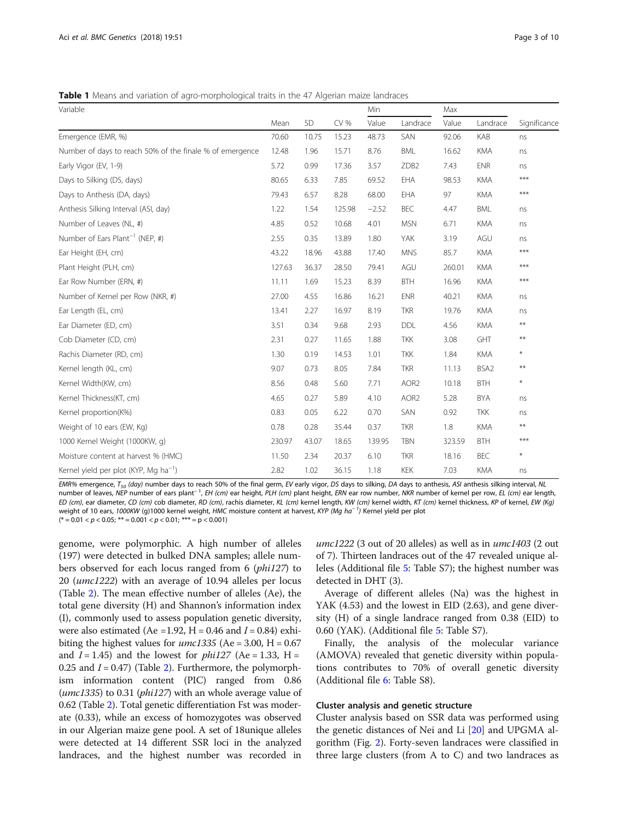<span id="page-2-0"></span>**Table 1** Means and variation of agro-morphological traits in the 47 Algerian maize landraces

| Variable                                                 |        |       |        | Min     |                  | Max    |            |              |
|----------------------------------------------------------|--------|-------|--------|---------|------------------|--------|------------|--------------|
|                                                          | Mean   | SD    | CV %   | Value   | Landrace         | Value  | Landrace   | Significance |
| Emergence (EMR, %)                                       | 70.60  | 10.75 | 15.23  | 48.73   | SAN              | 92.06  | KAB        | ns           |
| Number of days to reach 50% of the finale % of emergence | 12.48  | 1.96  | 15.71  | 8.76    | <b>BML</b>       | 16.62  | <b>KMA</b> | ns           |
| Early Vigor (EV, 1-9)                                    | 5.72   | 0.99  | 17.36  | 3.57    | ZDB <sub>2</sub> | 7.43   | <b>ENR</b> | ns           |
| Days to Silking (DS, days)                               | 80.65  | 6.33  | 7.85   | 69.52   | EHA              | 98.53  | <b>KMA</b> | ***          |
| Days to Anthesis (DA, days)                              | 79.43  | 6.57  | 8.28   | 68.00   | EHA              | 97     | <b>KMA</b> | ***          |
| Anthesis Silking Interval (ASI, day)                     | 1.22   | 1.54  | 125.98 | $-2.52$ | BEC              | 4.47   | <b>BML</b> | ns           |
| Number of Leaves (NL, #)                                 | 4.85   | 0.52  | 10.68  | 4.01    | <b>MSN</b>       | 6.71   | <b>KMA</b> | ns           |
| Number of Ears Plant <sup>-1</sup> (NEP, #)              | 2.55   | 0.35  | 13.89  | 1.80    | YAK              | 3.19   | AGU        | ns           |
| Ear Height (EH, cm)                                      | 43.22  | 18.96 | 43.88  | 17.40   | <b>MNS</b>       | 85.7   | <b>KMA</b> | ***          |
| Plant Height (PLH, cm)                                   | 127.63 | 36.37 | 28.50  | 79.41   | AGU              | 260.01 | <b>KMA</b> | ***          |
| Ear Row Number (ERN, #)                                  | 11.11  | 1.69  | 15.23  | 8.39    | <b>BTH</b>       | 16.96  | <b>KMA</b> | ***          |
| Number of Kernel per Row (NKR, #)                        | 27.00  | 4.55  | 16.86  | 16.21   | <b>ENR</b>       | 40.21  | <b>KMA</b> | ns           |
| Ear Length (EL, cm)                                      | 13.41  | 2.27  | 16.97  | 8.19    | <b>TKR</b>       | 19.76  | <b>KMA</b> | ns           |
| Ear Diameter (ED, cm)                                    | 3.51   | 0.34  | 9.68   | 2.93    | DDL              | 4.56   | <b>KMA</b> | $***$        |
| Cob Diameter (CD, cm)                                    | 2.31   | 0.27  | 11.65  | 1.88    | <b>TKK</b>       | 3.08   | GHT        | $***$        |
| Rachis Diameter (RD, cm)                                 | 1.30   | 0.19  | 14.53  | 1.01    | <b>TKK</b>       | 1.84   | <b>KMA</b> | $\ast$       |
| Kernel length (KL, cm)                                   | 9.07   | 0.73  | 8.05   | 7.84    | <b>TKR</b>       | 11.13  | BSA2       | $***$        |
| Kernel Width(KW, cm)                                     | 8.56   | 0.48  | 5.60   | 7.71    | AOR <sub>2</sub> | 10.18  | <b>BTH</b> | $\ast$       |
| Kernel Thickness(KT, cm)                                 | 4.65   | 0.27  | 5.89   | 4.10    | AOR <sub>2</sub> | 5.28   | <b>BYA</b> | ns           |
| Kernel proportion(K%)                                    | 0.83   | 0.05  | 6.22   | 0.70    | SAN              | 0.92   | <b>TKK</b> | ns           |
| Weight of 10 ears (EW, Kg)                               | 0.78   | 0.28  | 35.44  | 0.37    | <b>TKR</b>       | 1.8    | <b>KMA</b> | $***$        |
| 1000 Kernel Weight (1000KW, g)                           | 230.97 | 43.07 | 18.65  | 139.95  | <b>TBN</b>       | 323.59 | <b>BTH</b> | ***          |
| Moisture content at harvest % (HMC)                      | 11.50  | 2.34  | 20.37  | 6.10    | <b>TKR</b>       | 18.16  | BEC        | $\ast$       |
| Kernel yield per plot (KYP, Mg ha <sup>-1</sup> )        | 2.82   | 1.02  | 36.15  | 1.18    | KEK              | 7.03   | <b>KMA</b> | ns           |

EMR% emergence, T<sub>50</sub> (day) number days to reach 50% of the final germ, EV early vigor, DS days to silking, DA days to anthesis, ASI anthesis silking interval, NL number of leaves, NEP number of ears plant<sup>−1</sup>, EH (cm) ear height, PLH (cm) plant height, ERN ear row number, NKR number of kernel per row, EL (cm) ear length, ED (cm), ear diameter, CD (cm) cob diameter, RD (cm), rachis diameter, KL (cm) kernel length, KW (cm) kernel width, KT (cm) kernel thickness, KP of kernel, EW (Kg) weight of 10 ears, *1000KW (*g)1000 kernel weight, HMC moisture content at harvest, *KYP (Mg ha*<sup>− 1</sup>) Kernel yield per plot  $(* = 0.01 < p < 0.05; ** = 0.001 < p < 0.01;*** = p < 0.001)$ 

genome, were polymorphic. A high number of alleles (197) were detected in bulked DNA samples; allele numbers observed for each locus ranged from 6 (phi127) to 20 (umc1222) with an average of 10.94 alleles per locus (Table [2](#page-4-0)). The mean effective number of alleles (Ae), the total gene diversity (H) and Shannon's information index (I), commonly used to assess population genetic diversity, were also estimated (Ae = 1.92, H = 0.46 and  $I = 0.84$ ) exhibiting the highest values for  $umc1335$  (Ae = 3.00, H = 0.67 and  $I = 1.45$ ) and the lowest for *phil27* (Ae = 1.33, H = 0.25 and  $I = 0.47$ ) (Table [2\)](#page-4-0). Furthermore, the polymorphism information content (PIC) ranged from 0.86 (umc1335) to 0.31 (phi127) with an whole average value of 0.62 (Table [2\)](#page-4-0). Total genetic differentiation Fst was moderate (0.33), while an excess of homozygotes was observed in our Algerian maize gene pool. A set of 18unique alleles were detected at 14 different SSR loci in the analyzed landraces, and the highest number was recorded in

 $umc1222$  (3 out of 20 alleles) as well as in  $umc1403$  (2 out of 7). Thirteen landraces out of the 47 revealed unique alleles (Additional file [5:](#page-8-0) Table S7); the highest number was detected in DHT (3).

Average of different alleles (Na) was the highest in YAK (4.53) and the lowest in EID (2.63), and gene diversity (H) of a single landrace ranged from 0.38 (EID) to 0.60 (YAK). (Additional file [5:](#page-8-0) Table S7).

Finally, the analysis of the molecular variance (AMOVA) revealed that genetic diversity within populations contributes to 70% of overall genetic diversity (Additional file [6](#page-8-0): Table S8).

# Cluster analysis and genetic structure

Cluster analysis based on SSR data was performed using the genetic distances of Nei and Li [\[20](#page-8-0)] and UPGMA algorithm (Fig. [2\)](#page-5-0). Forty-seven landraces were classified in three large clusters (from A to C) and two landraces as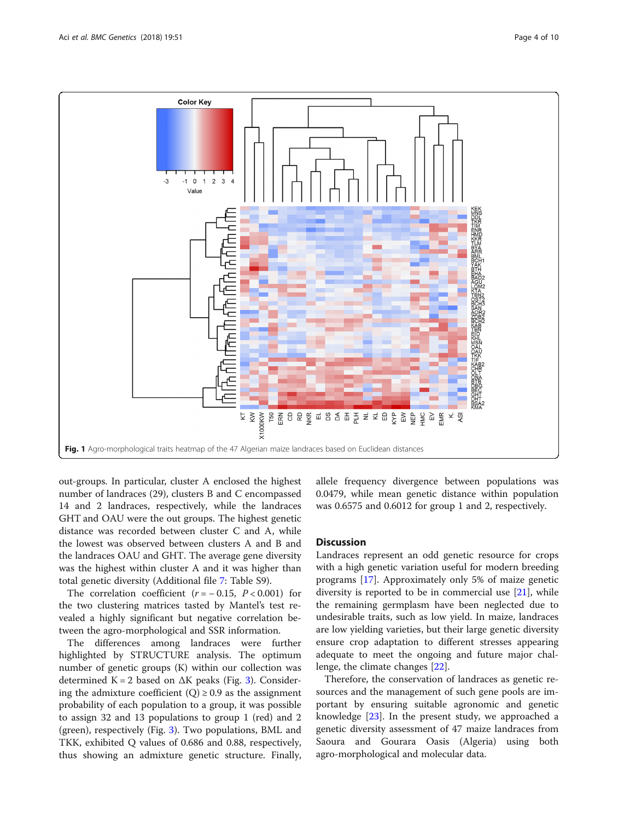<span id="page-3-0"></span>

out-groups. In particular, cluster A enclosed the highest number of landraces (29), clusters B and C encompassed 14 and 2 landraces, respectively, while the landraces GHT and OAU were the out groups. The highest genetic distance was recorded between cluster C and A, while the lowest was observed between clusters A and B and the landraces OAU and GHT. The average gene diversity was the highest within cluster A and it was higher than total genetic diversity (Additional file [7:](#page-8-0) Table S9).

The correlation coefficient  $(r = -0.15, P < 0.001)$  for the two clustering matrices tasted by Mantel's test revealed a highly significant but negative correlation between the agro-morphological and SSR information.

The differences among landraces were further highlighted by STRUCTURE analysis. The optimum number of genetic groups (K) within our collection was determined K = 2 based on  $\Delta K$  peaks (Fig. [3](#page-5-0)). Considering the admixture coefficient  $(Q) \ge 0.9$  as the assignment probability of each population to a group, it was possible to assign 32 and 13 populations to group 1 (red) and 2 (green), respectively (Fig. [3\)](#page-5-0). Two populations, BML and TKK, exhibited Q values of 0.686 and 0.88, respectively, thus showing an admixture genetic structure. Finally, allele frequency divergence between populations was 0.0479, while mean genetic distance within population was 0.6575 and 0.6012 for group 1 and 2, respectively.

# **Discussion**

Landraces represent an odd genetic resource for crops with a high genetic variation useful for modern breeding programs [\[17](#page-8-0)]. Approximately only 5% of maize genetic diversity is reported to be in commercial use [\[21](#page-8-0)], while the remaining germplasm have been neglected due to undesirable traits, such as low yield. In maize, landraces are low yielding varieties, but their large genetic diversity ensure crop adaptation to different stresses appearing adequate to meet the ongoing and future major challenge, the climate changes [\[22](#page-8-0)].

Therefore, the conservation of landraces as genetic resources and the management of such gene pools are important by ensuring suitable agronomic and genetic knowledge [[23](#page-8-0)]. In the present study, we approached a genetic diversity assessment of 47 maize landraces from Saoura and Gourara Oasis (Algeria) using both agro-morphological and molecular data.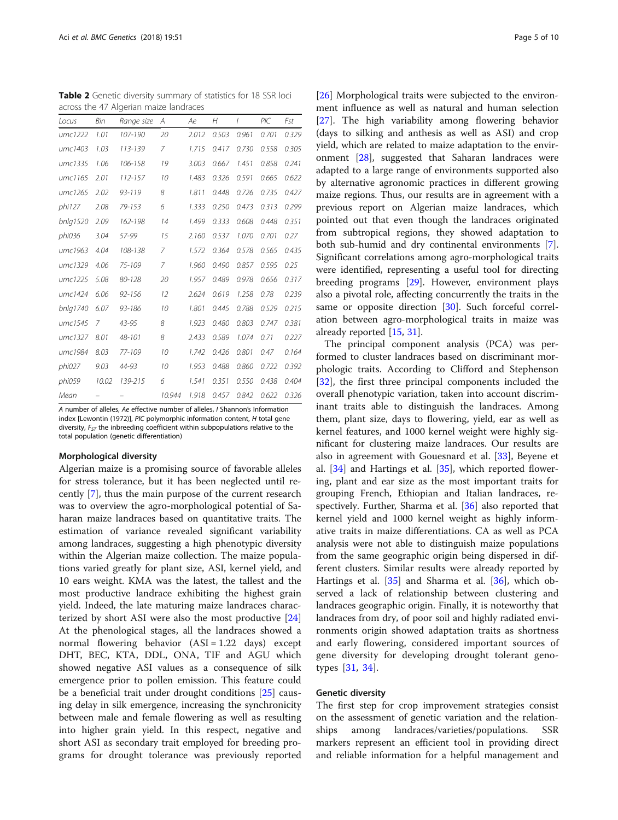<span id="page-4-0"></span>Table 2 Genetic diversity summary of statistics for 18 SSR loci across the 47 Algerian maize landraces

| Locus    | Bin   | Range size | A      | Аe    | H     | I     | PIC   | Fst   |
|----------|-------|------------|--------|-------|-------|-------|-------|-------|
| umc1222  | 1.01  | 107-190    | 20     | 2.012 | 0.503 | 0.961 | 0.701 | 0.329 |
| umc1403  | 1.03  | 113-139    | 7      | 1.715 | 0.417 | 0.730 | 0.558 | 0.305 |
| umc1335  | 1.06  | 106-158    | 19     | 3.003 | 0.667 | 1.451 | 0.858 | 0.241 |
| umc1165  | 2.01  | 112-157    | 10     | 1.483 | 0.326 | 0.591 | 0.665 | 0.622 |
| umc1265  | 2.02  | 93-119     | 8      | 1.811 | 0.448 | 0.726 | 0.735 | 0.427 |
| phi127   | 2.08  | 79-153     | 6      | 1.333 | 0.250 | 0.473 | 0.313 | 0.299 |
| bnlg1520 | 2.09  | 162-198    | 14     | 1.499 | 0.333 | 0.608 | 0.448 | 0.351 |
| phi036   | 3.04  | 57-99      | 15     | 2.160 | 0.537 | 1.070 | 0.701 | 0.27  |
| umc1963  | 4.04  | 108-138    | 7      | 1.572 | 0.364 | 0.578 | 0.565 | 0.435 |
| umc1329  | 4.06  | 75-109     | 7      | 1.960 | 0.490 | 0.857 | 0.595 | 0.25  |
| umc1225  | 5.08  | 80-128     | 20     | 1.957 | 0.489 | 0.978 | 0.656 | 0.317 |
| umc1424  | 6.06  | $92 - 156$ | 12     | 2.624 | 0.619 | 1.258 | 0.78  | 0.239 |
| bnlg1740 | 6.07  | 93-186     | 10     | 1.801 | 0.445 | 0.788 | 0.529 | 0.215 |
| umc1545  | 7     | 43-95      | 8      | 1.923 | 0.480 | 0.803 | 0.747 | 0.381 |
| umc1327  | 8.01  | 48-101     | 8      | 2.433 | 0.589 | 1.074 | 0.71  | 0.227 |
| umc1984  | 8.03  | 77-109     | 10     | 1.742 | 0.426 | 0.801 | 0.47  | 0.164 |
| phi027   | 9.03  | 44-93      | 10     | 1.953 | 0.488 | 0.860 | 0.722 | 0.392 |
| phi059   | 10.02 | 139-215    | 6      | 1.541 | 0.351 | 0.550 | 0.438 | 0.404 |
| Mean     |       |            | 10.944 | 1.918 | 0.457 | 0.842 | 0.622 | 0.326 |

A number of alleles, Ae effective number of alleles, I Shannon's Information index [Lewontin (1972)], PIC polymorphic information content, H total gene diversity,  $F_{ST}$  the inbreeding coefficient within subpopulations relative to the total population (genetic differentiation)

#### Morphological diversity

Algerian maize is a promising source of favorable alleles for stress tolerance, but it has been neglected until recently [\[7](#page-8-0)], thus the main purpose of the current research was to overview the agro-morphological potential of Saharan maize landraces based on quantitative traits. The estimation of variance revealed significant variability among landraces, suggesting a high phenotypic diversity within the Algerian maize collection. The maize populations varied greatly for plant size, ASI, kernel yield, and 10 ears weight. KMA was the latest, the tallest and the most productive landrace exhibiting the highest grain yield. Indeed, the late maturing maize landraces characterized by short ASI were also the most productive [[24](#page-8-0)] At the phenological stages, all the landraces showed a normal flowering behavior  $(ASI = 1.22 \text{ days})$  except DHT, BEC, KTA, DDL, ONA, TIF and AGU which showed negative ASI values as a consequence of silk emergence prior to pollen emission. This feature could be a beneficial trait under drought conditions [[25](#page-8-0)] causing delay in silk emergence, increasing the synchronicity between male and female flowering as well as resulting into higher grain yield. In this respect, negative and short ASI as secondary trait employed for breeding programs for drought tolerance was previously reported

[[26\]](#page-8-0) Morphological traits were subjected to the environment influence as well as natural and human selection [[27\]](#page-8-0). The high variability among flowering behavior (days to silking and anthesis as well as ASI) and crop yield, which are related to maize adaptation to the environment [[28\]](#page-9-0), suggested that Saharan landraces were adapted to a large range of environments supported also by alternative agronomic practices in different growing maize regions. Thus, our results are in agreement with a previous report on Algerian maize landraces, which pointed out that even though the landraces originated from subtropical regions, they showed adaptation to both sub-humid and dry continental environments [\[7](#page-8-0)]. Significant correlations among agro-morphological traits were identified, representing a useful tool for directing breeding programs [\[29](#page-9-0)]. However, environment plays also a pivotal role, affecting concurrently the traits in the same or opposite direction [\[30](#page-9-0)]. Such forceful correlation between agro-morphological traits in maize was already reported [[15](#page-8-0), [31](#page-9-0)].

The principal component analysis (PCA) was performed to cluster landraces based on discriminant morphologic traits. According to Clifford and Stephenson [[32\]](#page-9-0), the first three principal components included the overall phenotypic variation, taken into account discriminant traits able to distinguish the landraces. Among them, plant size, days to flowering, yield, ear as well as kernel features, and 1000 kernel weight were highly significant for clustering maize landraces. Our results are also in agreement with Gouesnard et al. [[33](#page-9-0)], Beyene et al. [[34\]](#page-9-0) and Hartings et al. [[35](#page-9-0)], which reported flowering, plant and ear size as the most important traits for grouping French, Ethiopian and Italian landraces, respectively. Further, Sharma et al. [[36\]](#page-9-0) also reported that kernel yield and 1000 kernel weight as highly informative traits in maize differentiations. CA as well as PCA analysis were not able to distinguish maize populations from the same geographic origin being dispersed in different clusters. Similar results were already reported by Hartings et al. [[35\]](#page-9-0) and Sharma et al. [[36\]](#page-9-0), which observed a lack of relationship between clustering and landraces geographic origin. Finally, it is noteworthy that landraces from dry, of poor soil and highly radiated environments origin showed adaptation traits as shortness and early flowering, considered important sources of gene diversity for developing drought tolerant genotypes [\[31](#page-9-0), [34](#page-9-0)].

#### Genetic diversity

The first step for crop improvement strategies consist on the assessment of genetic variation and the relationships among landraces/varieties/populations. SSR markers represent an efficient tool in providing direct and reliable information for a helpful management and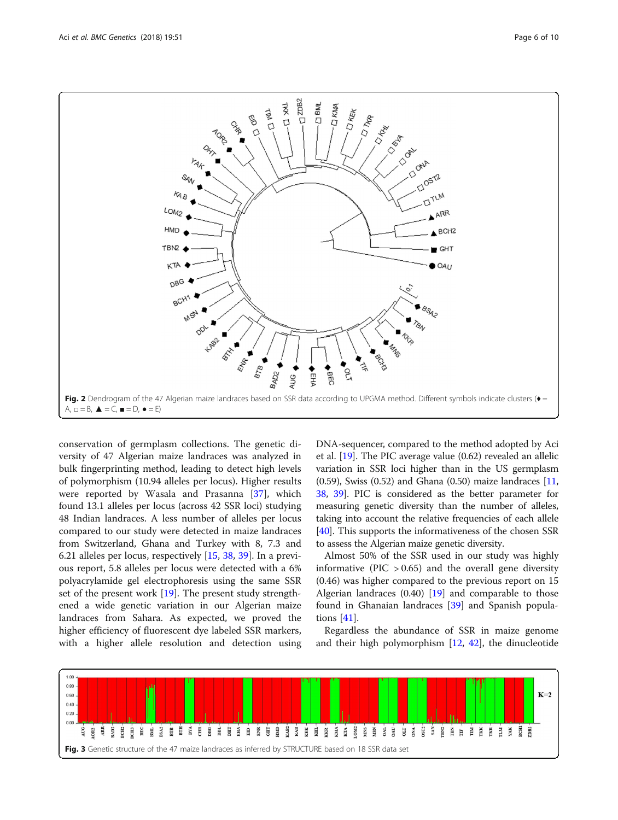<span id="page-5-0"></span>

conservation of germplasm collections. The genetic diversity of 47 Algerian maize landraces was analyzed in bulk fingerprinting method, leading to detect high levels of polymorphism (10.94 alleles per locus). Higher results were reported by Wasala and Prasanna [\[37](#page-9-0)], which found 13.1 alleles per locus (across 42 SSR loci) studying 48 Indian landraces. A less number of alleles per locus compared to our study were detected in maize landraces from Switzerland, Ghana and Turkey with 8, 7.3 and 6.21 alleles per locus, respectively [\[15,](#page-8-0) [38,](#page-9-0) [39\]](#page-9-0). In a previous report, 5.8 alleles per locus were detected with a 6% polyacrylamide gel electrophoresis using the same SSR set of the present work [[19\]](#page-8-0). The present study strengthened a wide genetic variation in our Algerian maize landraces from Sahara. As expected, we proved the higher efficiency of fluorescent dye labeled SSR markers, with a higher allele resolution and detection using DNA-sequencer, compared to the method adopted by Aci et al. [\[19\]](#page-8-0). The PIC average value (0.62) revealed an allelic variation in SSR loci higher than in the US germplasm (0.59), Swiss (0.52) and Ghana (0.50) maize landraces [[11](#page-8-0), [38](#page-9-0), [39](#page-9-0)]. PIC is considered as the better parameter for measuring genetic diversity than the number of alleles, taking into account the relative frequencies of each allele [[40](#page-9-0)]. This supports the informativeness of the chosen SSR to assess the Algerian maize genetic diversity.

Almost 50% of the SSR used in our study was highly informative (PIC  $> 0.65$ ) and the overall gene diversity (0.46) was higher compared to the previous report on 15 Algerian landraces  $(0.40)$  [\[19](#page-8-0)] and comparable to those found in Ghanaian landraces [\[39](#page-9-0)] and Spanish populations [[41\]](#page-9-0).

Regardless the abundance of SSR in maize genome and their high polymorphism [[12,](#page-8-0) [42\]](#page-9-0), the dinucleotide

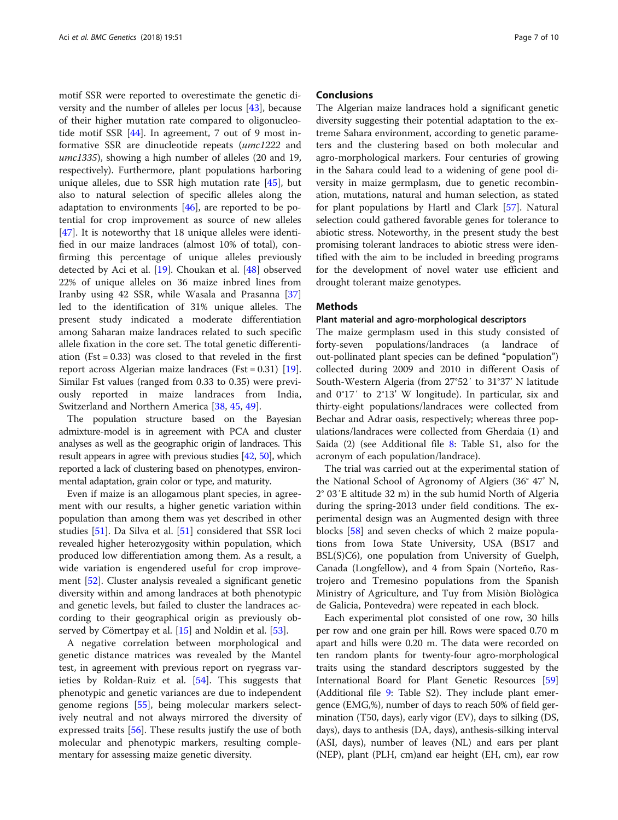motif SSR were reported to overestimate the genetic diversity and the number of alleles per locus [\[43\]](#page-9-0), because of their higher mutation rate compared to oligonucleotide motif SSR [[44](#page-9-0)]. In agreement, 7 out of 9 most informative SSR are dinucleotide repeats (umc1222 and umc1335), showing a high number of alleles (20 and 19, respectively). Furthermore, plant populations harboring unique alleles, due to SSR high mutation rate [[45\]](#page-9-0), but also to natural selection of specific alleles along the adaptation to environments  $[46]$  $[46]$ , are reported to be potential for crop improvement as source of new alleles [[47\]](#page-9-0). It is noteworthy that 18 unique alleles were identified in our maize landraces (almost 10% of total), confirming this percentage of unique alleles previously detected by Aci et al. [[19](#page-8-0)]. Choukan et al. [[48](#page-9-0)] observed 22% of unique alleles on 36 maize inbred lines from Iranby using 42 SSR, while Wasala and Prasanna [[37](#page-9-0)] led to the identification of 31% unique alleles. The present study indicated a moderate differentiation among Saharan maize landraces related to such specific allele fixation in the core set. The total genetic differentiation (Fst =  $0.33$ ) was closed to that reveled in the first report across Algerian maize landraces (Fst =  $0.31$ ) [\[19](#page-8-0)]. Similar Fst values (ranged from 0.33 to 0.35) were previously reported in maize landraces from India, Switzerland and Northern America [\[38,](#page-9-0) [45,](#page-9-0) [49\]](#page-9-0).

The population structure based on the Bayesian admixture-model is in agreement with PCA and cluster analyses as well as the geographic origin of landraces. This result appears in agree with previous studies [[42](#page-9-0), [50](#page-9-0)], which reported a lack of clustering based on phenotypes, environmental adaptation, grain color or type, and maturity.

Even if maize is an allogamous plant species, in agreement with our results, a higher genetic variation within population than among them was yet described in other studies [\[51](#page-9-0)]. Da Silva et al. [\[51](#page-9-0)] considered that SSR loci revealed higher heterozygosity within population, which produced low differentiation among them. As a result, a wide variation is engendered useful for crop improvement [[52](#page-9-0)]. Cluster analysis revealed a significant genetic diversity within and among landraces at both phenotypic and genetic levels, but failed to cluster the landraces according to their geographical origin as previously observed by Cömertpay et al. [\[15](#page-8-0)] and Noldin et al. [\[53\]](#page-9-0).

A negative correlation between morphological and genetic distance matrices was revealed by the Mantel test, in agreement with previous report on ryegrass varieties by Roldan-Ruiz et al. [[54\]](#page-9-0). This suggests that phenotypic and genetic variances are due to independent genome regions [\[55](#page-9-0)], being molecular markers selectively neutral and not always mirrored the diversity of expressed traits [\[56](#page-9-0)]. These results justify the use of both molecular and phenotypic markers, resulting complementary for assessing maize genetic diversity.

# **Conclusions**

The Algerian maize landraces hold a significant genetic diversity suggesting their potential adaptation to the extreme Sahara environment, according to genetic parameters and the clustering based on both molecular and agro-morphological markers. Four centuries of growing in the Sahara could lead to a widening of gene pool diversity in maize germplasm, due to genetic recombination, mutations, natural and human selection, as stated for plant populations by Hartl and Clark [[57\]](#page-9-0). Natural selection could gathered favorable genes for tolerance to abiotic stress. Noteworthy, in the present study the best promising tolerant landraces to abiotic stress were identified with the aim to be included in breeding programs for the development of novel water use efficient and drought tolerant maize genotypes.

# **Methods**

#### Plant material and agro-morphological descriptors

The maize germplasm used in this study consisted of forty-seven populations/landraces (a landrace of out-pollinated plant species can be defined "population") collected during 2009 and 2010 in different Oasis of South-Western Algeria (from 27°52′ to 31°37' N latitude and 0°17′ to 2°13' W longitude). In particular, six and thirty-eight populations/landraces were collected from Bechar and Adrar oasis, respectively; whereas three populations/landraces were collected from Gherdaia (1) and Saida (2) (see Additional file [8:](#page-8-0) Table S1, also for the acronym of each population/landrace).

The trial was carried out at the experimental station of the National School of Agronomy of Algiers (36° 47' N, 2° 03′E altitude 32 m) in the sub humid North of Algeria during the spring-2013 under field conditions. The experimental design was an Augmented design with three blocks [[58](#page-9-0)] and seven checks of which 2 maize populations from Iowa State University, USA (BS17 and BSL(S)C6), one population from University of Guelph, Canada (Longfellow), and 4 from Spain (Norteño, Rastrojero and Tremesino populations from the Spanish Ministry of Agriculture, and Tuy from Misiòn Biològica de Galicia, Pontevedra) were repeated in each block.

Each experimental plot consisted of one row, 30 hills per row and one grain per hill. Rows were spaced 0.70 m apart and hills were 0.20 m. The data were recorded on ten random plants for twenty-four agro-morphological traits using the standard descriptors suggested by the International Board for Plant Genetic Resources [[59](#page-9-0)] (Additional file [9:](#page-8-0) Table S2). They include plant emergence (EMG,%), number of days to reach 50% of field germination (T50, days), early vigor (EV), days to silking (DS, days), days to anthesis (DA, days), anthesis-silking interval (ASI, days), number of leaves (NL) and ears per plant (NEP), plant (PLH, cm)and ear height (EH, cm), ear row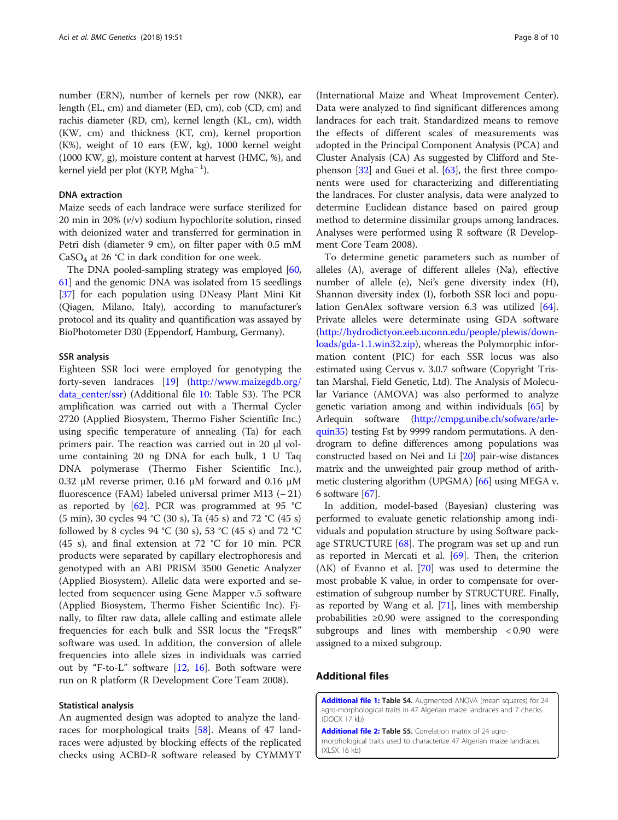<span id="page-7-0"></span>number (ERN), number of kernels per row (NKR), ear length (EL, cm) and diameter (ED, cm), cob (CD, cm) and rachis diameter (RD, cm), kernel length (KL, cm), width (KW, cm) and thickness (KT, cm), kernel proportion (K%), weight of 10 ears (EW, kg), 1000 kernel weight (1000 KW, g), moisture content at harvest (HMC, %), and kernel yield per plot (KYP, Mgha<sup>-1</sup>).

#### DNA extraction

Maize seeds of each landrace were surface sterilized for 20 min in 20% (v/v) sodium hypochlorite solution, rinsed with deionized water and transferred for germination in Petri dish (diameter 9 cm), on filter paper with 0.5 mM  $CaSO<sub>4</sub>$  at 26 °C in dark condition for one week.

The DNA pooled-sampling strategy was employed [[60](#page-9-0), [61](#page-9-0)] and the genomic DNA was isolated from 15 seedlings [[37](#page-9-0)] for each population using DNeasy Plant Mini Kit (Qiagen, Milano, Italy), according to manufacturer's protocol and its quality and quantification was assayed by BioPhotometer D30 (Eppendorf, Hamburg, Germany).

#### SSR analysis

Eighteen SSR loci were employed for genotyping the forty-seven landraces [\[19](#page-8-0)] ([http://www.maizegdb.org/](http://www.maizegdb.org/data_center/ssr) [data\\_center/ssr\)](http://www.maizegdb.org/data_center/ssr) (Additional file [10:](#page-8-0) Table S3). The PCR amplification was carried out with a Thermal Cycler 2720 (Applied Biosystem, Thermo Fisher Scientific Inc.) using specific temperature of annealing (Ta) for each primers pair. The reaction was carried out in 20 μl volume containing 20 ng DNA for each bulk, 1 U Taq DNA polymerase (Thermo Fisher Scientific Inc.), 0.32 μM reverse primer, 0.16 μM forward and 0.16 μM fluorescence (FAM) labeled universal primer M13 (− 21) as reported by  $[62]$ . PCR was programmed at 95 °C (5 min), 30 cycles 94 °C (30 s), Ta (45 s) and 72 °C (45 s) followed by 8 cycles 94 °C (30 s), 53 °C (45 s) and 72 °C (45 s), and final extension at 72 °C for 10 min. PCR products were separated by capillary electrophoresis and genotyped with an ABI PRISM 3500 Genetic Analyzer (Applied Biosystem). Allelic data were exported and selected from sequencer using Gene Mapper v.5 software (Applied Biosystem, Thermo Fisher Scientific Inc). Finally, to filter raw data, allele calling and estimate allele frequencies for each bulk and SSR locus the "FreqsR" software was used. In addition, the conversion of allele frequencies into allele sizes in individuals was carried out by "F-to-L" software [\[12](#page-8-0), [16](#page-8-0)]. Both software were run on R platform (R Development Core Team 2008).

# Statistical analysis

An augmented design was adopted to analyze the landraces for morphological traits [[58](#page-9-0)]. Means of 47 landraces were adjusted by blocking effects of the replicated checks using ACBD-R software released by CYMMYT

(International Maize and Wheat Improvement Center). Data were analyzed to find significant differences among landraces for each trait. Standardized means to remove the effects of different scales of measurements was adopted in the Principal Component Analysis (PCA) and Cluster Analysis (CA) As suggested by Clifford and Stephenson [[32\]](#page-9-0) and Guei et al. [\[63\]](#page-9-0), the first three components were used for characterizing and differentiating the landraces. For cluster analysis, data were analyzed to determine Euclidean distance based on paired group method to determine dissimilar groups among landraces. Analyses were performed using R software (R Development Core Team 2008).

To determine genetic parameters such as number of alleles (A), average of different alleles (Na), effective number of allele (e), Nei's gene diversity index (H), Shannon diversity index (I), forboth SSR loci and population GenAlex software version 6.3 was utilized [\[64](#page-9-0)]. Private alleles were determinate using GDA software ([http://hydrodictyon.eeb.uconn.edu/people/plewis/down](http://lewis.eeb.uconn.edu/lewishome/software.html)[loads/gda-1.1.win32.zip](http://lewis.eeb.uconn.edu/lewishome/software.html)), whereas the Polymorphic information content (PIC) for each SSR locus was also estimated using Cervus v. 3.0.7 software (Copyright Tristan Marshal, Field Genetic, Ltd). The Analysis of Molecular Variance (AMOVA) was also performed to analyze genetic variation among and within individuals [[65](#page-9-0)] by Arlequin software [\(http://cmpg.unibe.ch/sofware/arle](http://cmpg.unibe.ch/sofware/arlequin3)[quin35\)](http://cmpg.unibe.ch/sofware/arlequin3) testing Fst by 9999 random permutations. A dendrogram to define differences among populations was constructed based on Nei and Li [\[20\]](#page-8-0) pair-wise distances matrix and the unweighted pair group method of arithmetic clustering algorithm (UPGMA) [\[66\]](#page-9-0) using MEGA v. 6 software  $[67]$  $[67]$ .

In addition, model-based (Bayesian) clustering was performed to evaluate genetic relationship among individuals and population structure by using Software package STRUCTURE  $[68]$  $[68]$ . The program was set up and run as reported in Mercati et al. [[69\]](#page-9-0). Then, the criterion  $(\Delta K)$  of Evanno et al. [[70](#page-9-0)] was used to determine the most probable K value, in order to compensate for overestimation of subgroup number by STRUCTURE. Finally, as reported by Wang et al. [\[71\]](#page-9-0), lines with membership probabilities ≥0.90 were assigned to the corresponding subgroups and lines with membership < 0.90 were assigned to a mixed subgroup.

# Additional files

[Additional file 1:](https://doi.org/10.1186/s12863-018-0655-2) Table S4. Augmented ANOVA (mean squares) for 24 agro-morphological traits in 47 Algerian maize landraces and 7 checks. (DOCX 17 kb)

[Additional file 2:](https://doi.org/10.1186/s12863-018-0655-2) Table S5. Correlation matrix of 24 agromorphological traits used to characterize 47 Algerian maize landraces. (XLSX 16 kb)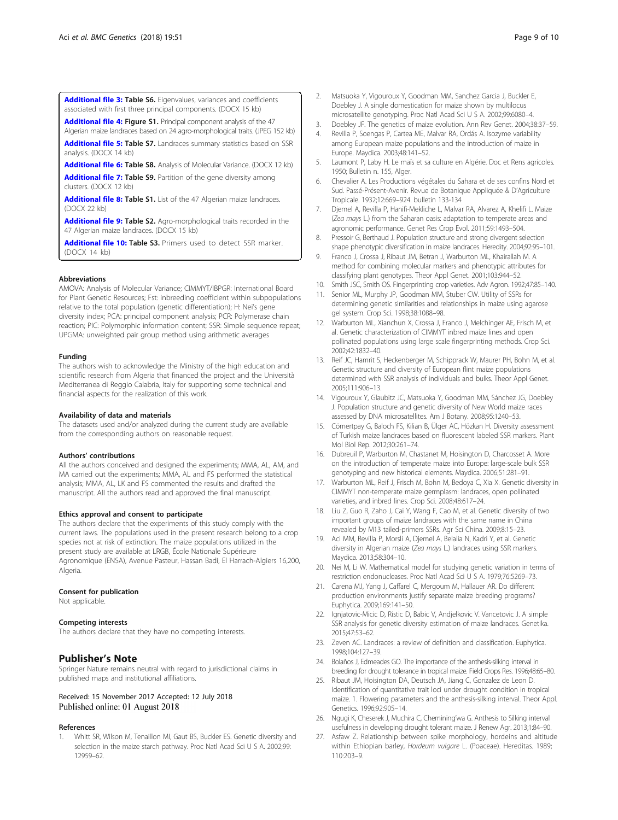<span id="page-8-0"></span>[Additional file 3:](https://doi.org/10.1186/s12863-018-0655-2) Table S6. Eigenvalues, variances and coefficients associated with first three principal components. (DOCX 15 kb)

[Additional file 4:](https://doi.org/10.1186/s12863-018-0655-2) Figure S1. Principal component analysis of the 47 Algerian maize landraces based on 24 agro-morphological traits. (JPEG 152 kb)

[Additional file 5:](https://doi.org/10.1186/s12863-018-0655-2) Table S7. Landraces summary statistics based on SSR analysis. (DOCX 14 kb)

[Additional file 6:](https://doi.org/10.1186/s12863-018-0655-2) Table S8. Analysis of Molecular Variance. (DOCX 12 kb)

[Additional file 7:](https://doi.org/10.1186/s12863-018-0655-2) Table S9. Partition of the gene diversity among clusters. (DOCX 12 kb)

[Additional file 8:](https://doi.org/10.1186/s12863-018-0655-2) Table S1. List of the 47 Algerian maize landraces. (DOCX 22 kb)

[Additional file 9:](https://doi.org/10.1186/s12863-018-0655-2) Table S2. Agro-morphological traits recorded in the 47 Algerian maize landraces. (DOCX 15 kb)

[Additional file 10:](https://doi.org/10.1186/s12863-018-0655-2) Table S3. Primers used to detect SSR marker. (DOCX 14 kb)

#### Abbreviations

AMOVA: Analysis of Molecular Variance; CIMMYT/IBPGR: International Board for Plant Genetic Resources; Fst: inbreeding coefficient within subpopulations relative to the total population (genetic differentiation); H: Nei's gene diversity index; PCA: principal component analysis; PCR: Polymerase chain reaction; PIC: Polymorphic information content; SSR: Simple sequence repeat; UPGMA: unweighted pair group method using arithmetic averages

#### Funding

The authors wish to acknowledge the Ministry of the high education and scientific research from Algeria that financed the project and the Università Mediterranea di Reggio Calabria, Italy for supporting some technical and financial aspects for the realization of this work.

#### Availability of data and materials

The datasets used and/or analyzed during the current study are available from the corresponding authors on reasonable request.

#### Authors' contributions

All the authors conceived and designed the experiments; MMA, AL, AM, and MA carried out the experiments; MMA, AL and FS performed the statistical analysis; MMA, AL, LK and FS commented the results and drafted the manuscript. All the authors read and approved the final manuscript.

#### Ethics approval and consent to participate

The authors declare that the experiments of this study comply with the current laws. The populations used in the present research belong to a crop species not at risk of extinction. The maize populations utilized in the present study are available at LRGB, École Nationale Supérieure Agronomique (ENSA), Avenue Pasteur, Hassan Badi, El Harrach-Algiers 16,200, Algeria.

#### Consent for publication

Not applicable.

#### Competing interests

The authors declare that they have no competing interests.

### Publisher's Note

Springer Nature remains neutral with regard to jurisdictional claims in published maps and institutional affiliations.

#### Received: 15 November 2017 Accepted: 12 July 2018 Published online: 01 August 2018

#### References

1. Whitt SR, Wilson M, Tenaillon MI, Gaut BS, Buckler ES. Genetic diversity and selection in the maize starch pathway. Proc Natl Acad Sci U S A. 2002;99: 12959–62.

- 2. Matsuoka Y, Vigouroux Y, Goodman MM, Sanchez Garcia J, Buckler E, Doebley J. A single domestication for maize shown by multilocus microsatellite genotyping. Proc Natl Acad Sci U S A. 2002;99:6080–4.
- 3. Doebley JF. The genetics of maize evolution. Ann Rev Genet. 2004;38:37–59.
- 4. Revilla P, Soengas P, Cartea ME, Malvar RA, Ordás A. Isozyme variability among European maize populations and the introduction of maize in Europe. Maydica. 2003;48:141–52.
- 5. Laumont P, Laby H. Le maïs et sa culture en Algérie. Doc et Rens agricoles. 1950; Bulletin n. 155, Alger.
- 6. Chevalier A. Les Productions végétales du Sahara et de ses confins Nord et Sud. Passé-Présent-Avenir. Revue de Botanique Appliquée & D'Agriculture Tropicale. 1932;12:669–924. bulletin 133-134
- 7. Djemel A, Revilla P, Hanifi-Mekliche L, Malvar RA, Alvarez A, Khelifi L. Maize (Zea mays L.) from the Saharan oasis: adaptation to temperate areas and agronomic performance. Genet Res Crop Evol. 2011;59:1493–504.
- 8. Pressoir G, Berthaud J. Population structure and strong divergent selection shape phenotypic diversification in maize landraces. Heredity. 2004;92:95–101.
- 9. Franco J, Crossa J, Ribaut JM, Betran J, Warburton ML, Khairallah M. A method for combining molecular markers and phenotypic attributes for classifying plant genotypes. Theor Appl Genet. 2001;103:944–52.
- 10. Smith JSC, Smith OS. Fingerprinting crop varieties. Adv Agron. 1992;47:85–140.
- 11. Senior ML, Murphy JP, Goodman MM, Stuber CW. Utility of SSRs for determining genetic similarities and relationships in maize using agarose gel system. Crop Sci. 1998;38:1088–98.
- 12. Warburton ML, Xianchun X, Crossa J, Franco J, Melchinger AE, Frisch M, et al. Genetic characterization of CIMMYT inbred maize lines and open pollinated populations using large scale fingerprinting methods. Crop Sci. 2002;42:1832–40.
- 13. Reif JC, Hamrit S, Heckenberger M, Schipprack W, Maurer PH, Bohn M, et al. Genetic structure and diversity of European flint maize populations determined with SSR analysis of individuals and bulks. Theor Appl Genet. 2005;111:906–13.
- 14. Vigouroux Y, Glaubitz JC, Matsuoka Y, Goodman MM, Sánchez JG, Doebley J. Population structure and genetic diversity of New World maize races assessed by DNA microsatellites. Am J Botany. 2008;95:1240–53.
- 15. Cömertpay G, Baloch FS, Kilian B, Ülger AC, Hözkan H. Diversity assessment of Turkish maize landraces based on fluorescent labeled SSR markers. Plant Mol Biol Rep. 2012;30:261–74.
- 16. Dubreuil P, Warburton M, Chastanet M, Hoisington D, Charcosset A. More on the introduction of temperate maize into Europe: large-scale bulk SSR genotyping and new historical elements. Maydica. 2006;51:281–91.
- 17. Warburton ML, Reif J, Frisch M, Bohn M, Bedoya C, Xia X. Genetic diversity in CIMMYT non-temperate maize germplasm: landraces, open pollinated varieties, and inbred lines. Crop Sci. 2008;48:617–24.
- 18. Liu Z, Guo R, Zaho J, Cai Y, Wang F, Cao M, et al. Genetic diversity of two important groups of maize landraces with the same name in China revealed by M13 tailed-primers SSRs. Agr Sci China. 2009;8:15–23.
- 19. Aci MM, Revilla P, Morsli A, Djemel A, Belalia N, Kadri Y, et al. Genetic diversity in Algerian maize (Zea mays L.) landraces using SSR markers. Maydica. 2013;58:304–10.
- 20. Nei M, Li W. Mathematical model for studying genetic variation in terms of restriction endonucleases. Proc Natl Acad Sci U S A. 1979;76:5269–73.
- 21. Carena MJ, Yang J, Caffarel C, Mergoum M, Hallauer AR. Do different production environments justify separate maize breeding programs? Euphytica. 2009;169:141–50.
- 22. Ignjatovic-Micic D, Ristic D, Babic V, Andjelkovic V. Vancetovic J. A simple SSR analysis for genetic diversity estimation of maize landraces. Genetika. 2015;47:53–62.
- 23. Zeven AC. Landraces: a review of definition and classification. Euphytica. 1998;104:127–39.
- 24. Bolaños J, Edmeades GO. The importance of the anthesis-silking interval in breeding for drought tolerance in tropical maize. Field Crops Res. 1996;48:65–80.
- 25. Ribaut JM, Hoisington DA, Deutsch JA, Jiang C, Gonzalez de Leon D. Identification of quantitative trait loci under drought condition in tropical maize. 1. Flowering parameters and the anthesis-silking interval. Theor Appl. Genetics. 1996;92:905–14.
- 26. Ngugi K, Cheserek J, Muchira C, Chemining'wa G. Anthesis to Silking interval usefulness in developing drought tolerant maize. J Renew Agr. 2013;1:84–90.
- 27. Asfaw Z. Relationship between spike morphology, hordeins and altitude within Ethiopian barley, Hordeum vulgare L. (Poaceae). Hereditas. 1989; 110:203–9.